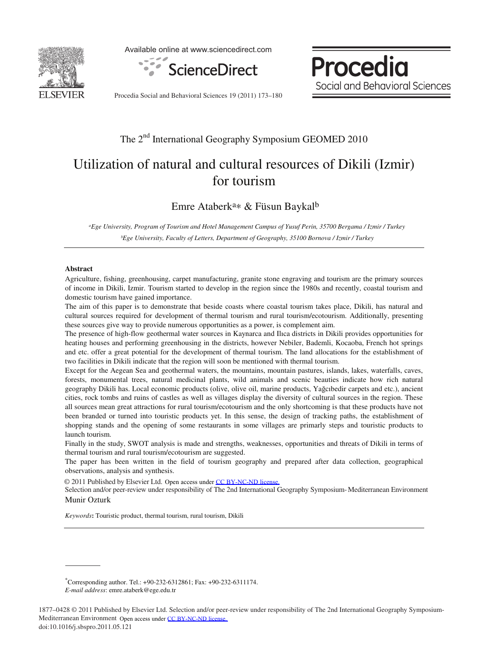

Available online at www.sciencedirect.com



Procedia Social and Behavioral Sciences

Procedia Social and Behavioral Sciences 19 (2011) 173–180

### The 2<sup>nd</sup> International Geography Symposium GEOMED 2010

# Utilization of natural and cultural resources of Dikili (Izmir) for tourism

### Emre Ataberka∗ & Füsun Baykalb

ֶ *Ege University, Program of Tourism and Hotel Management Campus of Yusuf Perin, 35700 Bergama / Izmir / Turkey*  ࢣ*Ege University, Faculty of Letters, Department of Geography, 35100 Bornova / Izmir / Turkey* 

#### **Abstract**

Agriculture, fishing, greenhousing, carpet manufacturing, granite stone engraving and tourism are the primary sources of income in Dikili, Izmir. Tourism started to develop in the region since the 1980s and recently, coastal tourism and domestic tourism have gained importance.

The aim of this paper is to demonstrate that beside coasts where coastal tourism takes place, Dikili, has natural and cultural sources required for development of thermal tourism and rural tourism/ecotourism. Additionally, presenting these sources give way to provide numerous opportunities as a power, is complement aim.

The presence of high-flow geothermal water sources in Kaynarca and Ilıca districts in Dikili provides opportunities for heating houses and performing greenhousing in the districts, however Nebiler, Bademli, Kocaoba, French hot springs and etc. offer a great potential for the development of thermal tourism. The land allocations for the establishment of two facilities in Dikili indicate that the region will soon be mentioned with thermal tourism.

Except for the Aegean Sea and geothermal waters, the mountains, mountain pastures, islands, lakes, waterfalls, caves, forests, monumental trees, natural medicinal plants, wild animals and scenic beauties indicate how rich natural geography Dikili has. Local economic products (olive, olive oil, marine products, Yağcıbedir carpets and etc.), ancient cities, rock tombs and ruins of castles as well as villages display the diversity of cultural sources in the region. These all sources mean great attractions for rural tourism/ecotourism and the only shortcoming is that these products have not been branded or turned into touristic products yet. In this sense, the design of tracking paths, the establishment of shopping stands and the opening of some restaurants in some villages are primarly steps and touristic products to launch tourism.

Finally in the study, SWOT analysis is made and strengths, weaknesses, opportunities and threats of Dikili in terms of thermal tourism and rural tourism/ecotourism are suggested.

The paper has been written in the field of tourism geography and prepared after data collection, geographical observations, analysis and synthesis.

© 2011 Published by Elsevier Ltd. Open access under [CC BY-NC-ND license.](http://creativecommons.org/licenses/by-nc-nd/3.0/)

Munir Ozturk Selection and/or peer-review under responsibility of The 2nd International Geography Symposium-Mediterranean Environment

*Keywords***:** Touristic product, thermal tourism, rural tourism, Dikili

∗ Corresponding author. Tel.: +90-232-6312861; Fax: +90-232-6311174.

*E-mail address*: emre.ataberk@ege.edu.tr

<sup>1877–0428 © 2011</sup> Published by Elsevier Ltd. Selection and/or peer-review under responsibility of The 2nd International Geography Symposium-Mediterranean Environment Open access under [CC BY-NC-ND license.](http://creativecommons.org/licenses/by-nc-nd/3.0/) doi:10.1016/j.sbspro.2011.05.121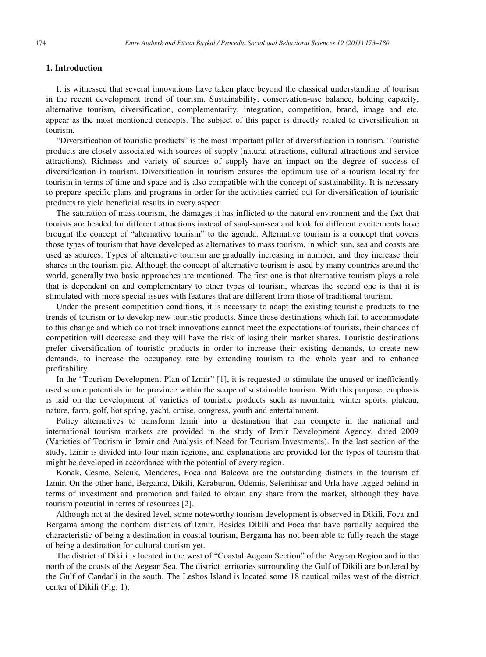#### **1. Introduction**

It is witnessed that several innovations have taken place beyond the classical understanding of tourism in the recent development trend of tourism. Sustainability, conservation-use balance, holding capacity, alternative tourism, diversification, complementarity, integration, competition, brand, image and etc. appear as the most mentioned concepts. The subject of this paper is directly related to diversification in tourism.

"Diversification of touristic products" is the most important pillar of diversification in tourism. Touristic products are closely associated with sources of supply (natural attractions, cultural attractions and service attractions). Richness and variety of sources of supply have an impact on the degree of success of diversification in tourism. Diversification in tourism ensures the optimum use of a tourism locality for tourism in terms of time and space and is also compatible with the concept of sustainability. It is necessary to prepare specific plans and programs in order for the activities carried out for diversification of touristic products to yield beneficial results in every aspect.

The saturation of mass tourism, the damages it has inflicted to the natural environment and the fact that tourists are headed for different attractions instead of sand-sun-sea and look for different excitements have brought the concept of "alternative tourism" to the agenda. Alternative tourism is a concept that covers those types of tourism that have developed as alternatives to mass tourism, in which sun, sea and coasts are used as sources. Types of alternative tourism are gradually increasing in number, and they increase their shares in the tourism pie. Although the concept of alternative tourism is used by many countries around the world, generally two basic approaches are mentioned. The first one is that alternative tourism plays a role that is dependent on and complementary to other types of tourism, whereas the second one is that it is stimulated with more special issues with features that are different from those of traditional tourism.

Under the present competition conditions, it is necessary to adapt the existing touristic products to the trends of tourism or to develop new touristic products. Since those destinations which fail to accommodate to this change and which do not track innovations cannot meet the expectations of tourists, their chances of competition will decrease and they will have the risk of losing their market shares. Touristic destinations prefer diversification of touristic products in order to increase their existing demands, to create new demands, to increase the occupancy rate by extending tourism to the whole year and to enhance profitability.

In the "Tourism Development Plan of Izmir" [1], it is requested to stimulate the unused or inefficiently used source potentials in the province within the scope of sustainable tourism. With this purpose, emphasis is laid on the development of varieties of touristic products such as mountain, winter sports, plateau, nature, farm, golf, hot spring, yacht, cruise, congress, youth and entertainment.

Policy alternatives to transform Izmir into a destination that can compete in the national and international tourism markets are provided in the study of Izmir Development Agency, dated 2009 (Varieties of Tourism in Izmir and Analysis of Need for Tourism Investments). In the last section of the study, Izmir is divided into four main regions, and explanations are provided for the types of tourism that might be developed in accordance with the potential of every region.

Konak, Cesme, Selcuk, Menderes, Foca and Balcova are the outstanding districts in the tourism of Izmir. On the other hand, Bergama, Dikili, Karaburun, Odemis, Seferihisar and Urla have lagged behind in terms of investment and promotion and failed to obtain any share from the market, although they have tourism potential in terms of resources [2].

Although not at the desired level, some noteworthy tourism development is observed in Dikili, Foca and Bergama among the northern districts of Izmir. Besides Dikili and Foca that have partially acquired the characteristic of being a destination in coastal tourism, Bergama has not been able to fully reach the stage of being a destination for cultural tourism yet.

The district of Dikili is located in the west of "Coastal Aegean Section" of the Aegean Region and in the north of the coasts of the Aegean Sea. The district territories surrounding the Gulf of Dikili are bordered by the Gulf of Candarli in the south. The Lesbos Island is located some 18 nautical miles west of the district center of Dikili (Fig: 1).